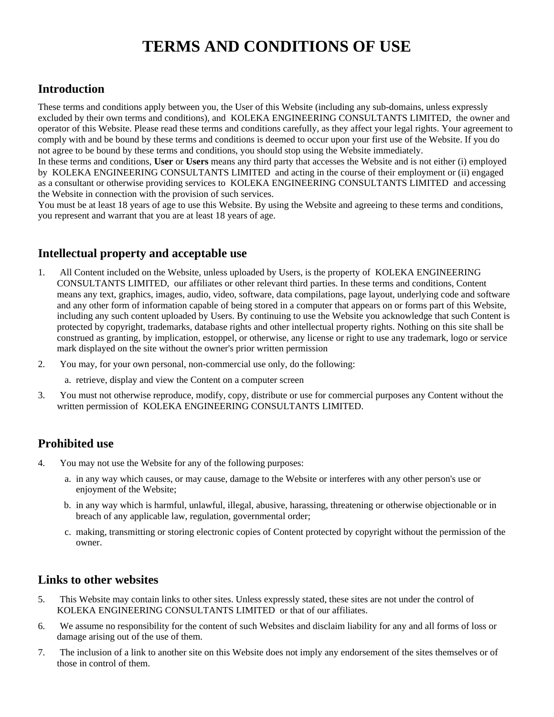# **TERMS AND CONDITIONS OF USE**

## **Introduction**

These terms and conditions apply between you, the User of this Website (including any sub-domains, unless expressly excluded by their own terms and conditions), and KOLEKA ENGINEERING CONSULTANTS LIMITED, the owner and operator of this Website. Please read these terms and conditions carefully, as they affect your legal rights. Your agreement to comply with and be bound by these terms and conditions is deemed to occur upon your first use of the Website. If you do not agree to be bound by these terms and conditions, you should stop using the Website immediately.

In these terms and conditions, **User** or **Users** means any third party that accesses the Website and is not either (i) employed by KOLEKA ENGINEERING CONSULTANTS LIMITED and acting in the course of their employment or (ii) engaged as a consultant or otherwise providing services to KOLEKA ENGINEERING CONSULTANTS LIMITED and accessing the Website in connection with the provision of such services.

You must be at least 18 years of age to use this Website. By using the Website and agreeing to these terms and conditions, you represent and warrant that you are at least 18 years of age.

# **Intellectual property and acceptable use**

- 1. All Content included on the Website, unless uploaded by Users, is the property of KOLEKA ENGINEERING CONSULTANTS LIMITED, our affiliates or other relevant third parties. In these terms and conditions, Content means any text, graphics, images, audio, video, software, data compilations, page layout, underlying code and software and any other form of information capable of being stored in a computer that appears on or forms part of this Website, including any such content uploaded by Users. By continuing to use the Website you acknowledge that such Content is protected by copyright, trademarks, database rights and other intellectual property rights. Nothing on this site shall be construed as granting, by implication, estoppel, or otherwise, any license or right to use any trademark, logo or service mark displayed on the site without the owner's prior written permission
- 2. You may, for your own personal, non-commercial use only, do the following:
	- a. retrieve, display and view the Content on a computer screen
- 3. You must not otherwise reproduce, modify, copy, distribute or use for commercial purposes any Content without the written permission of KOLEKA ENGINEERING CONSULTANTS LIMITED.

## **Prohibited use**

- 4. You may not use the Website for any of the following purposes:
	- a. in any way which causes, or may cause, damage to the Website or interferes with any other person's use or enjoyment of the Website;
	- b. in any way which is harmful, unlawful, illegal, abusive, harassing, threatening or otherwise objectionable or in breach of any applicable law, regulation, governmental order;
	- c. making, transmitting or storing electronic copies of Content protected by copyright without the permission of the owner.

#### **Links to other websites**

- 5. This Website may contain links to other sites. Unless expressly stated, these sites are not under the control of KOLEKA ENGINEERING CONSULTANTS LIMITED or that of our affiliates.
- 6. We assume no responsibility for the content of such Websites and disclaim liability for any and all forms of loss or damage arising out of the use of them.
- 7. The inclusion of a link to another site on this Website does not imply any endorsement of the sites themselves or of those in control of them.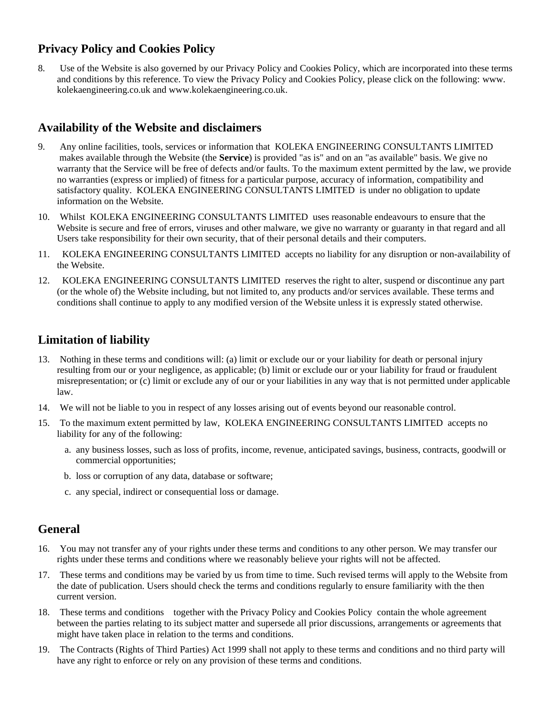# **Privacy Policy and Cookies Policy**

8. Use of the Website is also governed by our Privacy Policy and Cookies Policy, which are incorporated into these terms and conditions by this reference. To view the Privacy Policy and Cookies Policy, please click on the following: www. kolekaengineering.co.uk and www.kolekaengineering.co.uk.

## **Availability of the Website and disclaimers**

- 9. Any online facilities, tools, services or information that KOLEKA ENGINEERING CONSULTANTS LIMITED makes available through the Website (the **Service**) is provided "as is" and on an "as available" basis. We give no warranty that the Service will be free of defects and/or faults. To the maximum extent permitted by the law, we provide no warranties (express or implied) of fitness for a particular purpose, accuracy of information, compatibility and satisfactory quality. KOLEKA ENGINEERING CONSULTANTS LIMITED is under no obligation to update information on the Website.
- 10. Whilst KOLEKA ENGINEERING CONSULTANTS LIMITED uses reasonable endeavours to ensure that the Website is secure and free of errors, viruses and other malware, we give no warranty or guaranty in that regard and all Users take responsibility for their own security, that of their personal details and their computers.
- 11. KOLEKA ENGINEERING CONSULTANTS LIMITED accepts no liability for any disruption or non-availability of the Website.
- 12. KOLEKA ENGINEERING CONSULTANTS LIMITED reserves the right to alter, suspend or discontinue any part (or the whole of) the Website including, but not limited to, any products and/or services available. These terms and conditions shall continue to apply to any modified version of the Website unless it is expressly stated otherwise.

## **Limitation of liability**

- 13. Nothing in these terms and conditions will: (a) limit or exclude our or your liability for death or personal injury resulting from our or your negligence, as applicable; (b) limit or exclude our or your liability for fraud or fraudulent misrepresentation; or (c) limit or exclude any of our or your liabilities in any way that is not permitted under applicable law.
- 14. We will not be liable to you in respect of any losses arising out of events beyond our reasonable control.
- 15. To the maximum extent permitted by law, KOLEKA ENGINEERING CONSULTANTS LIMITED accepts no liability for any of the following:
	- a. any business losses, such as loss of profits, income, revenue, anticipated savings, business, contracts, goodwill or commercial opportunities;
	- b. loss or corruption of any data, database or software;
	- c. any special, indirect or consequential loss or damage.

#### **General**

- 16. You may not transfer any of your rights under these terms and conditions to any other person. We may transfer our rights under these terms and conditions where we reasonably believe your rights will not be affected.
- 17. These terms and conditions may be varied by us from time to time. Such revised terms will apply to the Website from the date of publication. Users should check the terms and conditions regularly to ensure familiarity with the then current version.
- 18. These terms and conditions together with the Privacy Policy and Cookies Policy contain the whole agreement between the parties relating to its subject matter and supersede all prior discussions, arrangements or agreements that might have taken place in relation to the terms and conditions.
- 19. The Contracts (Rights of Third Parties) Act 1999 shall not apply to these terms and conditions and no third party will have any right to enforce or rely on any provision of these terms and conditions.